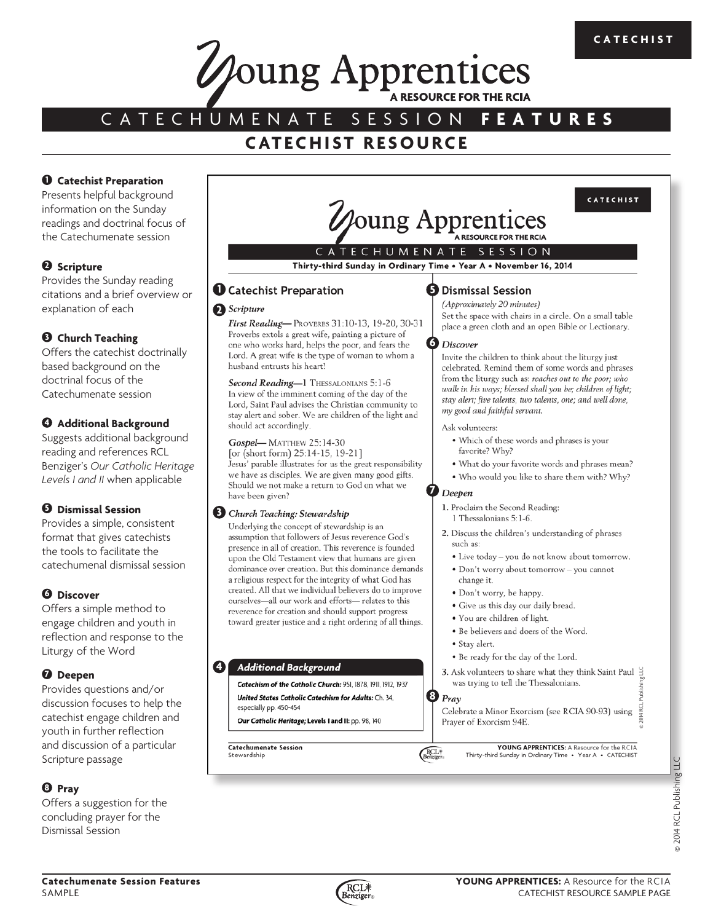CATECHIST



# CATECHUMENATE SESSION **FEATURES**

# **CATECHIST RESOURCE**

### **1** Catechist Preparation

Presents helpful background information on the Sunday readings and doctrinal focus of the Catechumenate session

# **2 Scripture**

Provides the Sunday reading citations and a brief overview or explanation of each

# **3 Church Teaching**

Offers the catechist doctrinally based background on the doctrinal focus of the Catechumenate session

# **4 Additional Background**

Suggests additional background reading and references RCL Benziger's *Our Catholic Heritage Levels I and II* when applicable

# **5 Dismissal Session**

Provides a simple, consistent format that gives catechists the tools to facilitate the catechumenal dismissal session

# **6 Discover**

Offers a simple method to engage children and youth in reflection and response to the Liturgy of the Word

# **7 Deepen**

Provides questions and/or discussion focuses to help the catechist engage children and youth in further reflection and discussion of a particular Scripture passage

# **8 Pray**

Offers a suggestion for the concluding prayer for the Dismissal Session



# ECHUMENATE SESSION

Thirty-third Sunday in Ordinary Time . Year A . November 16, 2014

### **1** Catechist Preparation

#### **2** Scripture

First Reading-PROVERBS 31:10-13, 19-20, 30-31 Proverbs extols a great wife, painting a picture of one who works hard, helps the poor, and fears the Lord. A great wife is the type of woman to whom a husband entrusts his heart!

Second Reading-1 THESSALONIANS 5:1-6 In view of the imminent coming of the day of the Lord, Saint Paul advises the Christian community to stay alert and sober. We are children of the light and should act accordingly.

#### Gospel-MATTHEW 25:14-30

[or (short form) 25:14-15, 19-21] Jesus' parable illustrates for us the great responsibility we have as disciples. We are given many good gifts. Should we not make a return to God on what we have been given?

#### **3** Church Teaching: Stewardship

Underlying the concept of stewardship is an assumption that followers of Jesus reverence God's presence in all of creation. This reverence is founded upon the Old Testament view that humans are given dominance over creation. But this dominance demands a religious respect for the integrity of what God has created. All that we individual believers do to improve ourselves-all our work and efforts-relates to this reverence for creation and should support progress toward greater justice and a right ordering of all things.

#### **4 Additional Background**

Catechism of the Catholic Church: 951 1878 1911 1912 1937 United States Catholic Catechism for Adults: Ch. 34, especially pp. 450-454

Our Catholic Heritage; Levels I and II: pp. 98, 140

Catechumenate Session Stewardship

### **6** Dismissal Session

(Approximately 20 minutes) Set the space with chairs in a circle. On a small table place a green cloth and an open Bible or Lectionary.

#### **6 Discover**

Invite the children to think about the liturgy just celebrated. Remind them of some words and phrases from the liturgy such as: reaches out to the poor; who walk in his ways; blessed shall you be; children of light; stay alert; five talents, two talents, one; and well done, my good and faithful servant.

#### Ask volunteers:

- . Which of these words and phrases is your favorite? Why?
- . What do your favorite words and phrases mean?
- . Who would you like to share them with? Why?

#### Deepen

**7**

- 1. Proclaim the Second Reading:
- 1 Thessalonians 5:1-6.

2. Discuss the children's understanding of phrases such as:

- · Live today you do not know about tomorrow.
- · Don't worry about tomorrow you cannot
- change it.
- · Don't worry, be happy.
- · Give us this day our daily bread.
- . You are children of light.
- · Be believers and doers of the Word.
- · Stav alert.
- . Be ready for the day of the Lord.
- 3. Ask volunteers to share what they think Saint Paul 当 was trying to tell the Thessalonians.

#### **8** Pray

 $RCL$ 

Celebrate a Minor Exorcism (see RCIA 90-93) using  $\frac{Q}{\frac{Q}{2}}$ Prayer of Exorcism 94E.

YOUNG APPRENTICES: A Resource for the RCIA Thirty-third Sunday in Ordinary Time . Year A . CATECHIST